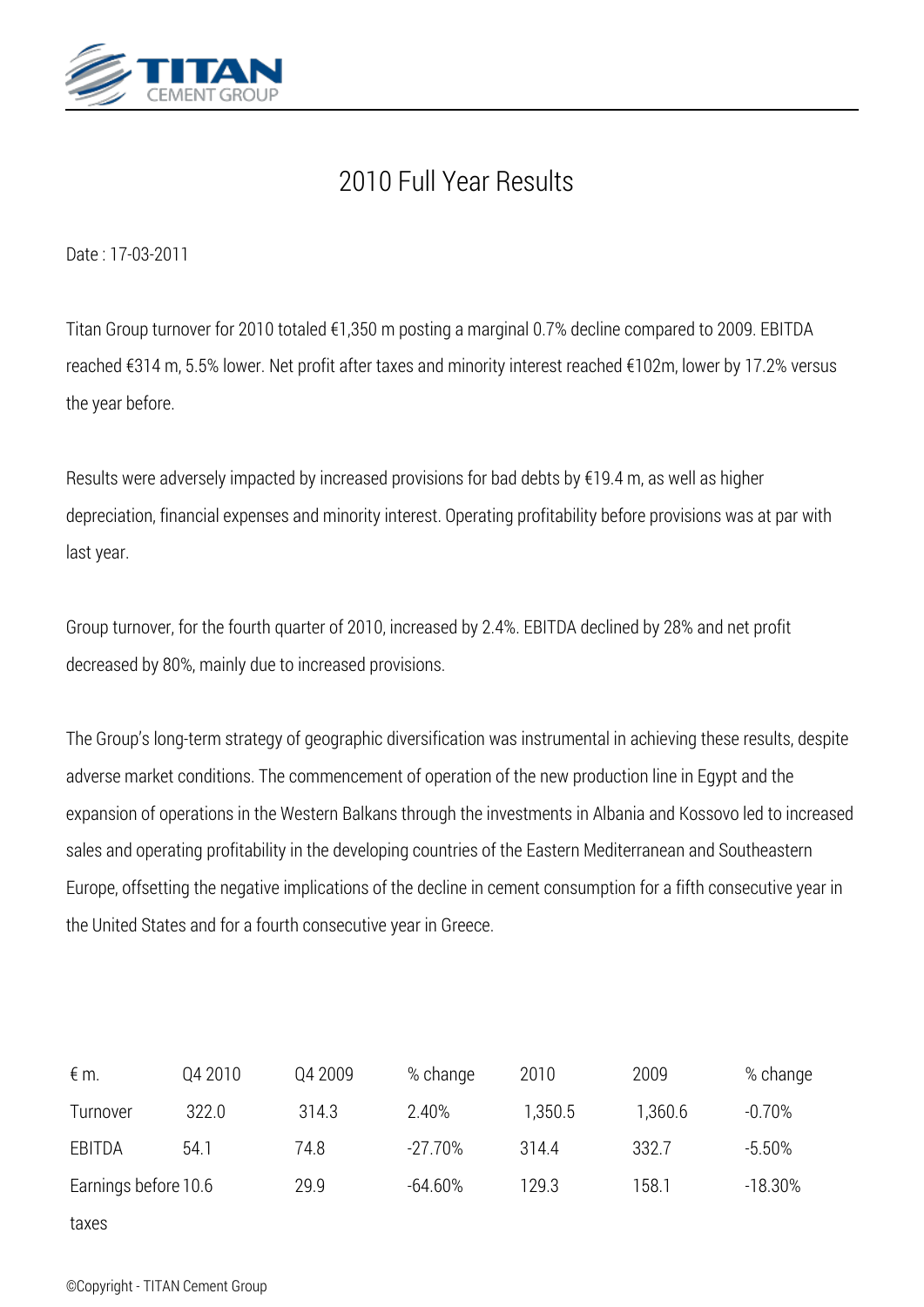

# *2010 Full Year Results*

*Date : 17-03-2011*

*Titan Group turnover for 2010 totaled €1,350 m posting a marginal 0.7% decline compared to 2009. EBITDA reached €314 m, 5.5% lower. Net profit after taxes and minority interest reached €102m, lower by 17.2% versus the year before.*

*Results were adversely impacted by increased provisions for bad debts by €19.4 m, as well as higher depreciation, financial expenses and minority interest. Operating profitability before provisions was at par with last year.*

*Group turnover, for the fourth quarter of 2010, increased by 2.4%. EBITDA declined by 28% and net profit decreased by 80%, mainly due to increased provisions.*

*The Group's long-term strategy of geographic diversification was instrumental in achieving these results, despite adverse market conditions. The commencement of operation of the new production line in Egypt and the expansion of operations in the Western Balkans through the investments in Albania and Kossovo led to increased sales and operating profitability in the developing countries of the Eastern Mediterranean and Southeastern Europe, offsetting the negative implications of the decline in cement consumption for a fifth consecutive year in the United States and for a fourth consecutive year in Greece.*

| $\notin$ m.          | Q4 2010 | Q4 2009 | % change  | 2010    | 2009    | % change  |
|----------------------|---------|---------|-----------|---------|---------|-----------|
| Turnover             | 322.0   | 314.3   | 2.40%     | 1,350.5 | 1,360.6 | $-0.70%$  |
| EBITDA               | 54.1    | 74.8    | $-27.70%$ | 314.4   | 332.7   | $-5.50%$  |
| Earnings before 10.6 |         | 29.9    | $-64.60%$ | 129.3   | 158.1   | $-18.30%$ |
| taxes                |         |         |           |         |         |           |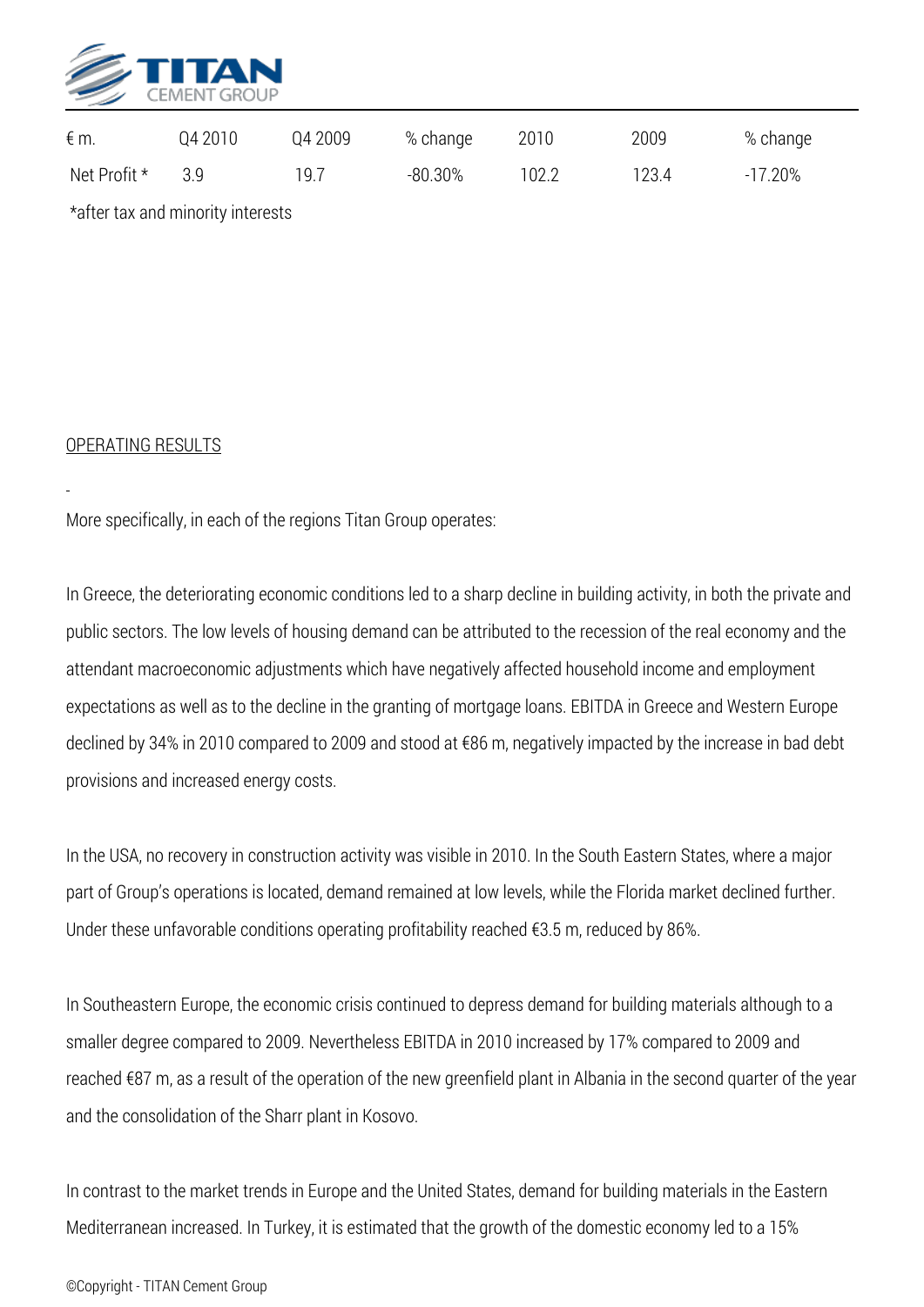

| $\notin$ m.  | Q4 2010 | Q4 2009 | % change   | 2010  | 2009  | % change |
|--------------|---------|---------|------------|-------|-------|----------|
| Net Profit * | 39      | 19.7    | $-80.30\%$ | 102.2 | 123.4 | -17.20%  |

*\*after tax and minority interests*

### *OPERATING RESULTS*

*More specifically, in each of the regions Titan Group operates:*

*In Greece, the deteriorating economic conditions led to a sharp decline in building activity, in both the private and public sectors. The low levels of housing demand can be attributed to the recession of the real economy and the attendant macroeconomic adjustments which have negatively affected household income and employment expectations as well as to the decline in the granting of mortgage loans. EBITDA in Greece and Western Europe declined by 34% in 2010 compared to 2009 and stood at €86 m, negatively impacted by the increase in bad debt provisions and increased energy costs.*

*In the USA, no recovery in construction activity was visible in 2010. In the South Eastern States, where a major part of Group's operations is located, demand remained at low levels, while the Florida market declined further. Under these unfavorable conditions operating profitability reached €3.5 m, reduced by 86%.*

*In Southeastern Europe, the economic crisis continued to depress demand for building materials although to a smaller degree compared to 2009. Nevertheless EBITDA in 2010 increased by 17% compared to 2009 and reached €87 m, as a result of the operation of the new greenfield plant in Albania in the second quarter of the year and the consolidation of the Sharr plant in Kosovo.*

*In contrast to the market trends in Europe and the United States, demand for building materials in the Eastern Mediterranean increased. In Turkey, it is estimated that the growth of the domestic economy led to a 15%*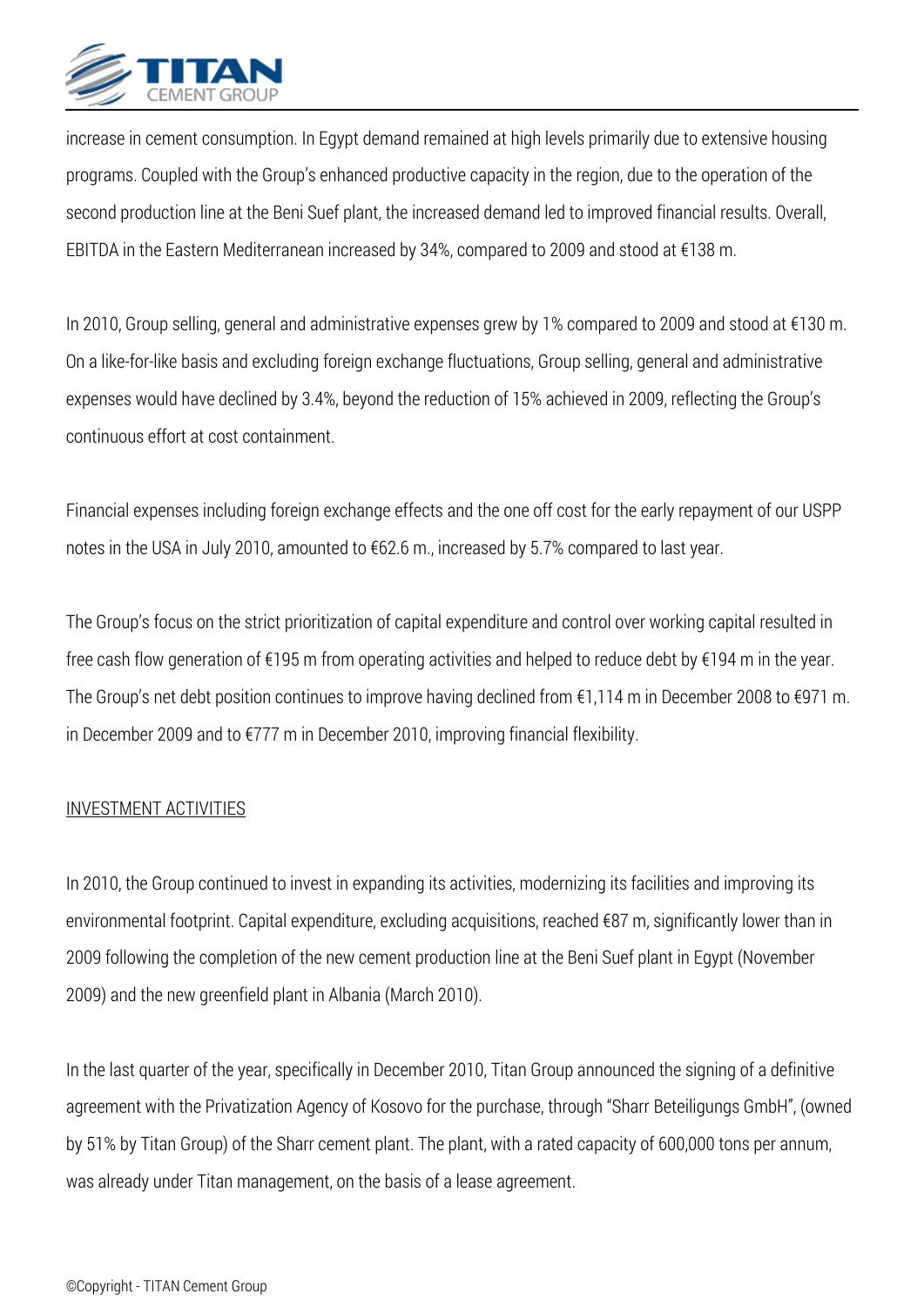

*increase in cement consumption. In Egypt demand remained at high levels primarily due to extensive housing programs. Coupled with the Group's enhanced productive capacity in the region, due to the operation of the second production line at the Beni Suef plant, the increased demand led to improved financial results. Overall, EBITDA in the Eastern Mediterranean increased by 34%, compared to 2009 and stood at €138 m.*

*In 2010, Group selling, general and administrative expenses grew by 1% compared to 2009 and stood at €130 m. On a like-for-like basis and excluding foreign exchange fluctuations, Group selling, general and administrative expenses would have declined by 3.4%, beyond the reduction of 15% achieved in 2009, reflecting the Group's continuous effort at cost containment.*

*Financial expenses including foreign exchange effects and the one off cost for the early repayment of our USPP notes in the USA in July 2010, amounted to €62.6 m., increased by 5.7% compared to last year.*

*The Group's focus on the strict prioritization of capital expenditure and control over working capital resulted in free cash flow generation of €195 m from operating activities and helped to reduce debt by €194 m in the year. The Group's net debt position continues to improve having declined from €1,114 m in December 2008 to €971 m. in December 2009 and to €777 m in December 2010, improving financial flexibility.*

#### *INVESTMENT ACTIVITIES*

*In 2010, the Group continued to invest in expanding its activities, modernizing its facilities and improving its environmental footprint. Capital expenditure, excluding acquisitions, reached €87 m, significantly lower than in 2009 following the completion of the new cement production line at the Beni Suef plant in Egypt (November 2009) and the new greenfield plant in Albania (March 2010).*

*In the last quarter of the year, specifically in December 2010, Titan Group announced the signing of a definitive agreement with the Privatization Agency of Kosovo for the purchase, through "Sharr Beteiligungs GmbH", (owned by 51% by Titan Group) of the Sharr cement plant. The plant, with a rated capacity of 600,000 tons per annum, was already under Titan management, on the basis of a lease agreement.*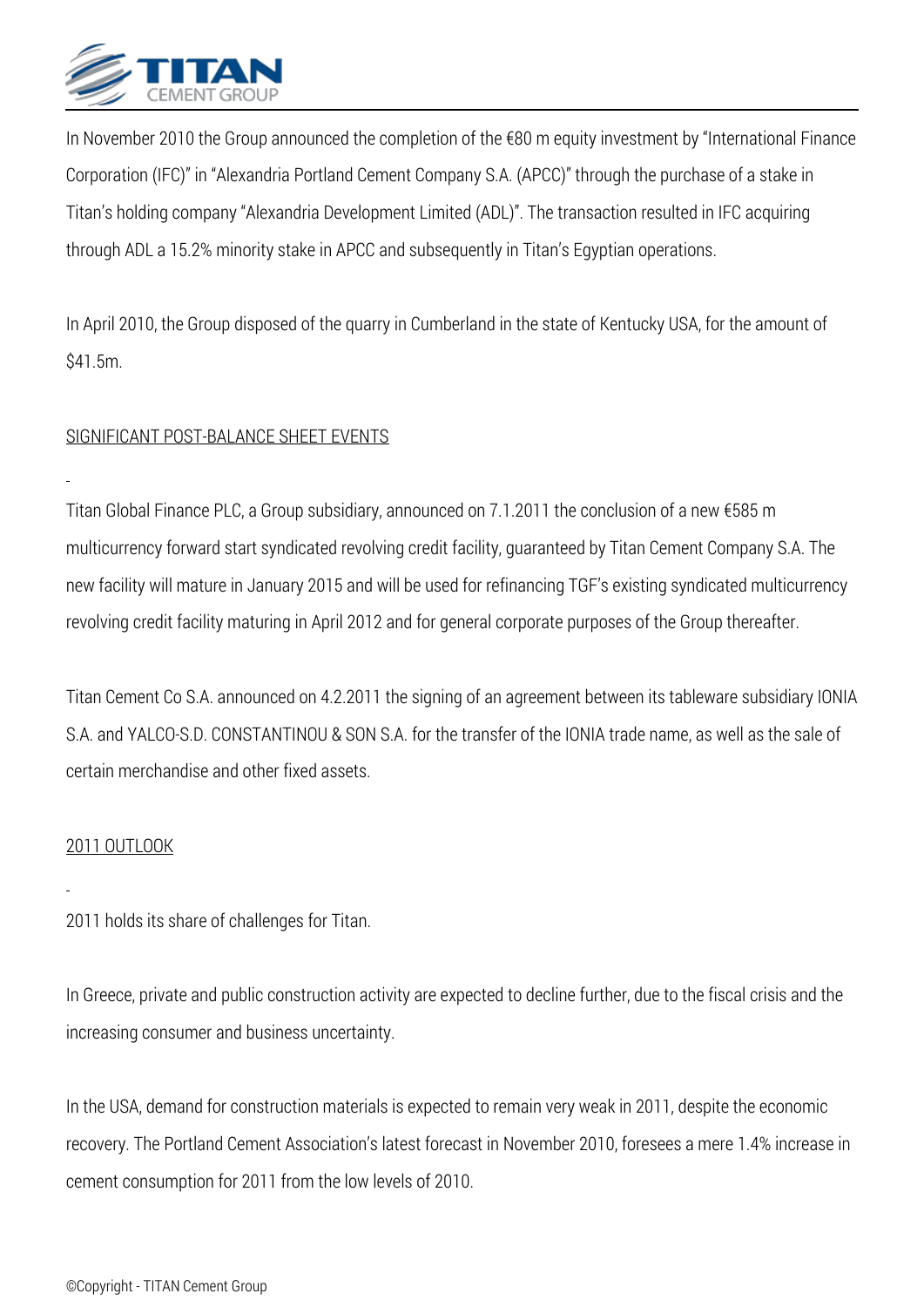

*In November 2010 the Group announced the completion of the €80 m equity investment by "International Finance Corporation (IFC)" in "Alexandria Portland Cement Company S.A. (APCC)" through the purchase of a stake in Titan's holding company "Alexandria Development Limited (ADL)". The transaction resulted in IFC acquiring through ADL a 15.2% minority stake in APCC and subsequently in Titan's Egyptian operations.*

*In April 2010, the Group disposed of the quarry in Cumberland in the state of Kentucky USA, for the amount of \$41.5m.*

# *SIGNIFICANT POST-BALANCE SHEET EVENTS*

*Titan Global Finance PLC, a Group subsidiary, announced on 7.1.2011 the conclusion of a new €585 m multicurrency forward start syndicated revolving credit facility, guaranteed by Titan Cement Company S.A. The new facility will mature in January 2015 and will be used for refinancing TGF's existing syndicated multicurrency revolving credit facility maturing in April 2012 and for general corporate purposes of the Group thereafter.*

*Titan Cement Co S.A. announced on 4.2.2011 the signing of an agreement between its tableware subsidiary IONIA S.A. and YALCO-S.D. CONSTANTINOU & SON S.A. for the transfer of the IONIA trade name, as well as the sale of certain merchandise and other fixed assets.*

# *2011 OUTLOOK*

*2011 holds its share of challenges for Titan.*

*In Greece, private and public construction activity are expected to decline further, due to the fiscal crisis and the increasing consumer and business uncertainty.*

*In the USA, demand for construction materials is expected to remain very weak in 2011, despite the economic recovery. The Portland Cement Association's latest forecast in November 2010, foresees a mere 1.4% increase in cement consumption for 2011 from the low levels of 2010.*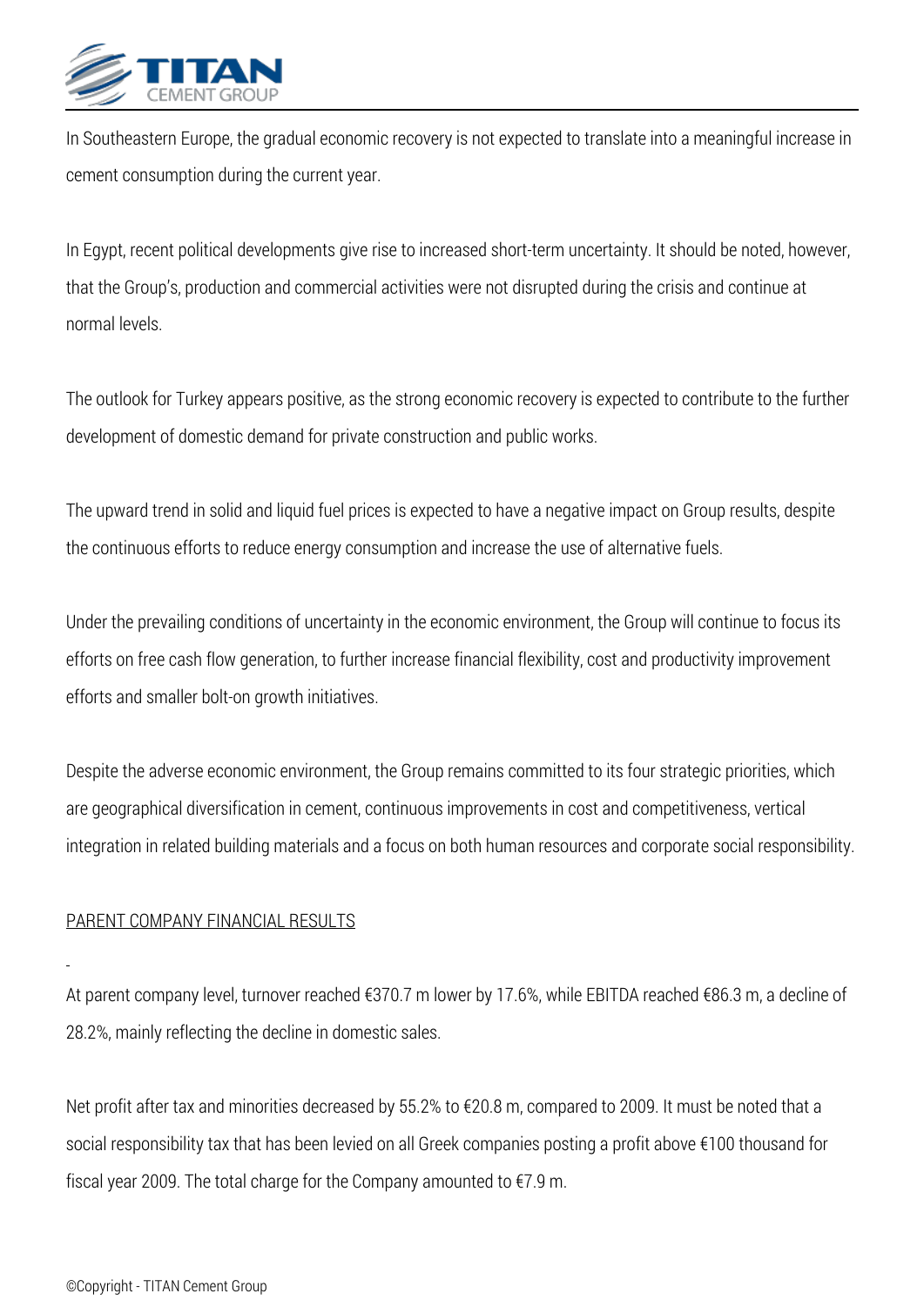

*In Southeastern Europe, the gradual economic recovery is not expected to translate into a meaningful increase in cement consumption during the current year.*

*In Egypt, recent political developments give rise to increased short-term uncertainty. It should be noted, however, that the Group's, production and commercial activities were not disrupted during the crisis and continue at normal levels.*

*The outlook for Turkey appears positive, as the strong economic recovery is expected to contribute to the further development of domestic demand for private construction and public works.*

*The upward trend in solid and liquid fuel prices is expected to have a negative impact on Group results, despite the continuous efforts to reduce energy consumption and increase the use of alternative fuels.*

*Under the prevailing conditions of uncertainty in the economic environment, the Group will continue to focus its efforts on free cash flow generation, to further increase financial flexibility, cost and productivity improvement efforts and smaller bolt-on growth initiatives.*

*Despite the adverse economic environment, the Group remains committed to its four strategic priorities, which are geographical diversification in cement, continuous improvements in cost and competitiveness, vertical integration in related building materials and a focus on both human resources and corporate social responsibility.*

# *PARENT COMPANY FINANCIAL RESULTS*

*At parent company level, turnover reached €370.7 m lower by 17.6%, while EBITDA reached €86.3 m, a decline of 28.2%, mainly reflecting the decline in domestic sales.*

*Net profit after tax and minorities decreased by 55.2% to €20.8 m, compared to 2009. It must be noted that a social responsibility tax that has been levied on all Greek companies posting a profit above €100 thousand for fiscal year 2009. The total charge for the Company amounted to €7.9 m.*